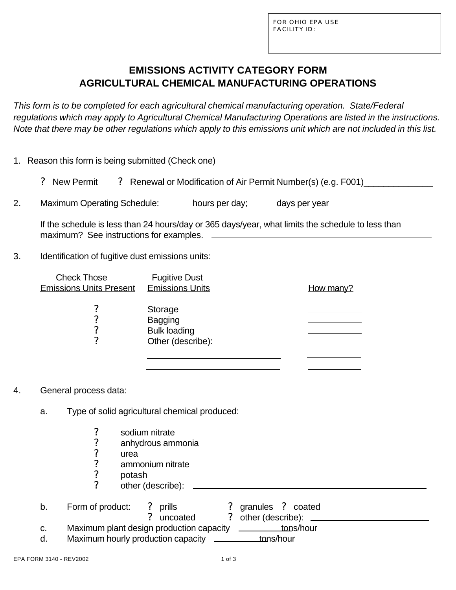FOR OHIO EPA USE FACILITY ID:  $\_\_\_\_\_\_\_\_\_\_\_\$ 

# **EMISSIONS ACTIVITY CATEGORY FORM AGRICULTURAL CHEMICAL MANUFACTURING OPERATIONS**

*This form is to be completed for each agricultural chemical manufacturing operation. State/Federal regulations which may apply to Agricultural Chemical Manufacturing Operations are listed in the instructions. Note that there may be other regulations which apply to this emissions unit which are not included in this list.*

|  |  | 1. Reason this form is being submitted (Check one) |  |
|--|--|----------------------------------------------------|--|
|  |  |                                                    |  |

|  | ? New Permit |  | ? Renewal or Modification of Air Permit Number(s) (e.g. F001) |  |
|--|--------------|--|---------------------------------------------------------------|--|
|--|--------------|--|---------------------------------------------------------------|--|

2. Maximum Operating Schedule: \_\_\_\_\_hours per day; days per year

If the schedule is less than 24 hours/day or 365 days/year, what limits the schedule to less than maximum? See instructions for examples.  $\Box$ 

3. Identification of fugitive dust emissions units:

| <b>Check Those</b><br><b>Emissions Units Present</b> | <b>Fugitive Dust</b><br><b>Emissions Units</b>                        | <u>How many?</u> |
|------------------------------------------------------|-----------------------------------------------------------------------|------------------|
| 7<br>7<br>7<br>7                                     | Storage<br><b>Bagging</b><br><b>Bulk loading</b><br>Other (describe): |                  |

- 4. General process data:
	- a. Type of solid agricultural chemical produced:
		-
		- anhydrous ammonia
		- urea.
		- ? sodium nitrate<br>? anhydrous amr<br>? ammonium nitr<br>? potash<br>? other (describe ammonium nitrate
		- ? potash
		- other (describe):

|    | Form of product:                         | ? prills   | ? granules ? coated          |
|----|------------------------------------------|------------|------------------------------|
|    |                                          | ? uncoated | ? other (describe):          |
| C. | Maximum plant design production capacity |            | <u>___________tons</u> /hour |

d. Maximum hourly production capacity \_\_\_\_\_\_\_\_\_\_tons/hour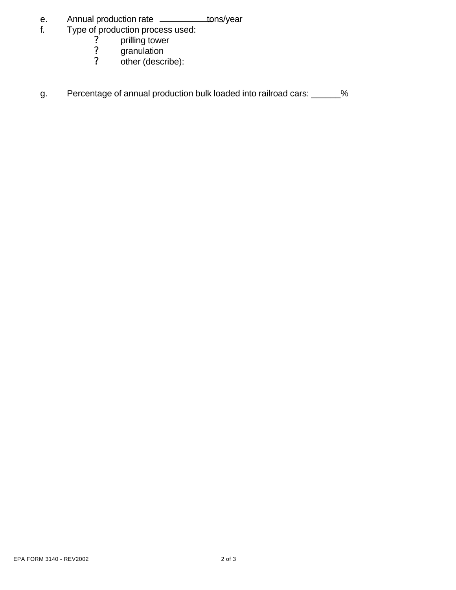- e. Annual production rate \_\_\_\_\_\_\_\_\_\_tons/year
- f. Type of production process used:
	- ? prilling tower ? prilling towe<br>? granulation<br>? other (descri
	-
	- ? other (describe):
- g. Percentage of annual production bulk loaded into railroad cars: \_\_\_\_\_\_%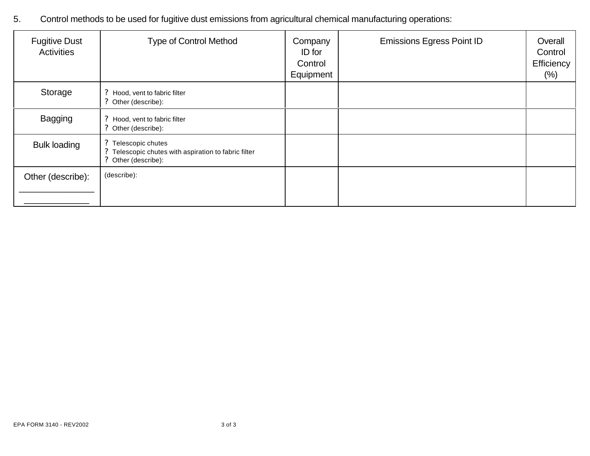5. Control methods to be used for fugitive dust emissions from agricultural chemical manufacturing operations:

| <b>Fugitive Dust</b><br>Activities | <b>Type of Control Method</b>                                                                      | Company<br>ID for<br>Control<br>Equipment | <b>Emissions Egress Point ID</b> | Overall<br>Control<br>Efficiency<br>$(\%)$ |
|------------------------------------|----------------------------------------------------------------------------------------------------|-------------------------------------------|----------------------------------|--------------------------------------------|
| Storage                            | ? Hood, vent to fabric filter<br>? Other (describe):                                               |                                           |                                  |                                            |
| <b>Bagging</b>                     | ? Hood, vent to fabric filter<br>? Other (describe):                                               |                                           |                                  |                                            |
| <b>Bulk loading</b>                | ? Telescopic chutes<br>? Telescopic chutes with aspiration to fabric filter<br>? Other (describe): |                                           |                                  |                                            |
| Other (describe):                  | (describe):                                                                                        |                                           |                                  |                                            |
|                                    |                                                                                                    |                                           |                                  |                                            |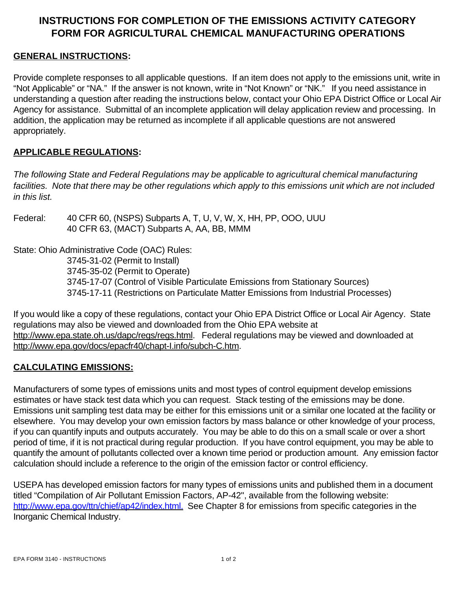## **INSTRUCTIONS FOR COMPLETION OF THE EMISSIONS ACTIVITY CATEGORY FORM FOR AGRICULTURAL CHEMICAL MANUFACTURING OPERATIONS**

#### **GENERAL INSTRUCTIONS:**

Provide complete responses to all applicable questions. If an item does not apply to the emissions unit, write in "Not Applicable" or "NA." If the answer is not known, write in "Not Known" or "NK." If you need assistance in understanding a question after reading the instructions below, contact your Ohio EPA District Office or Local Air Agency for assistance. Submittal of an incomplete application will delay application review and processing. In addition, the application may be returned as incomplete if all applicable questions are not answered appropriately.

#### **APPLICABLE REGULATIONS:**

*The following State and Federal Regulations may be applicable to agricultural chemical manufacturing facilities. Note that there may be other regulations which apply to this emissions unit which are not included in this list.*

Federal: 40 CFR 60, (NSPS) Subparts A, T, U, V, W, X, HH, PP, OOO, UUU 40 CFR 63, (MACT) Subparts A, AA, BB, MMM

State: Ohio Administrative Code (OAC) Rules: 3745-31-02 (Permit to Install) 3745-35-02 (Permit to Operate) 3745-17-07 (Control of Visible Particulate Emissions from Stationary Sources) 3745-17-11 (Restrictions on Particulate Matter Emissions from Industrial Processes)

If you would like a copy of these regulations, contact your Ohio EPA District Office or Local Air Agency. State regulations may also be viewed and downloaded from the Ohio EPA website at http://www.epa.state.oh.us/dapc/regs/regs.html. Federal regulations may be viewed and downloaded at http://www.epa.gov/docs/epacfr40/chapt-I.info/subch-C.htm.

### **CALCULATING EMISSIONS:**

Manufacturers of some types of emissions units and most types of control equipment develop emissions estimates or have stack test data which you can request. Stack testing of the emissions may be done. Emissions unit sampling test data may be either for this emissions unit or a similar one located at the facility or elsewhere. You may develop your own emission factors by mass balance or other knowledge of your process, if you can quantify inputs and outputs accurately. You may be able to do this on a small scale or over a short period of time, if it is not practical during regular production. If you have control equipment, you may be able to quantify the amount of pollutants collected over a known time period or production amount. Any emission factor calculation should include a reference to the origin of the emission factor or control efficiency.

USEPA has developed emission factors for many types of emissions units and published them in a document titled "Compilation of Air Pollutant Emission Factors, AP-42", available from the following website: http://www.epa.gov/ttn/chief/ap42/index.html. See Chapter 8 for emissions from specific categories in the Inorganic Chemical Industry.